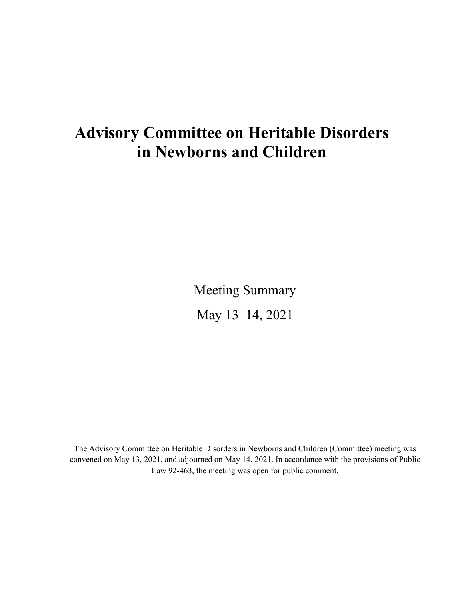# <span id="page-0-0"></span>**Advisory Committee on Heritable Disorders in Newborns and Children**

Meeting Summary May 13–14, 2021

The Advisory Committee on Heritable Disorders in Newborns and Children (Committee) meeting was convened on May 13, 2021, and adjourned on May 14, 2021. In accordance with the provisions of Public Law 92-463, the meeting was open for public comment.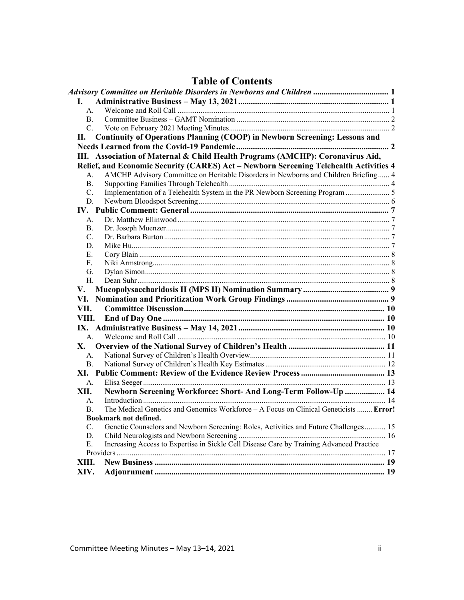|                | LAVIC VI CONTENTS                                                                        |  |
|----------------|------------------------------------------------------------------------------------------|--|
|                |                                                                                          |  |
| L.             |                                                                                          |  |
| A.             |                                                                                          |  |
| B.             |                                                                                          |  |
| $C_{\cdot}$    |                                                                                          |  |
| П.             | Continuity of Operations Planning (COOP) in Newborn Screening: Lessons and               |  |
|                |                                                                                          |  |
|                | III. Association of Maternal & Child Health Programs (AMCHP): Coronavirus Aid,           |  |
|                | Relief, and Economic Security (CARES) Act - Newborn Screening Telehealth Activities 4    |  |
| $A_{-}$        | AMCHP Advisory Committee on Heritable Disorders in Newborns and Children Briefing 4      |  |
| <b>B.</b>      |                                                                                          |  |
| C.             |                                                                                          |  |
| D.             |                                                                                          |  |
|                |                                                                                          |  |
| $A_{-}$        |                                                                                          |  |
|                |                                                                                          |  |
| <b>B.</b>      |                                                                                          |  |
| $C_{\cdot}$    |                                                                                          |  |
| D.             |                                                                                          |  |
| E.             |                                                                                          |  |
| F.             |                                                                                          |  |
| G.             |                                                                                          |  |
| H.             |                                                                                          |  |
| V.             |                                                                                          |  |
| VI.            |                                                                                          |  |
| VII.           |                                                                                          |  |
| VIII.          |                                                                                          |  |
|                |                                                                                          |  |
| A <sub>1</sub> |                                                                                          |  |
| <b>X</b> .     |                                                                                          |  |
| A <sub>1</sub> |                                                                                          |  |
| B.             |                                                                                          |  |
|                |                                                                                          |  |
| A.             |                                                                                          |  |
| XII.           | Newborn Screening Workforce: Short- And Long-Term Follow-Up  14                          |  |
| $A_{\cdot}$    |                                                                                          |  |
| $\mathbf{B}$   | The Medical Genetics and Genomics Workforce - A Focus on Clinical Geneticists  Error!    |  |
|                | <b>Bookmark not defined.</b>                                                             |  |
| C.             | Genetic Counselors and Newborn Screening: Roles, Activities and Future Challenges 15     |  |
| D.             |                                                                                          |  |
| Ε.             | Increasing Access to Expertise in Sickle Cell Disease Care by Training Advanced Practice |  |
|                |                                                                                          |  |
| XIII.          |                                                                                          |  |
| XIV.           |                                                                                          |  |
|                |                                                                                          |  |

## **Table of Contents**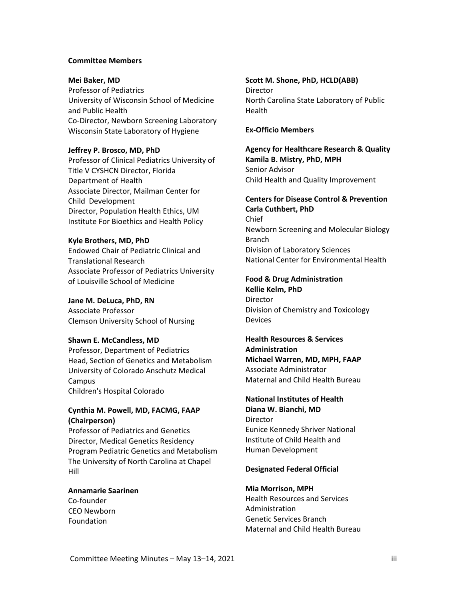#### **Committee Members**

#### **Mei Baker, MD**

Professor of Pediatrics University of Wisconsin School of Medicine and Public Health Co-Director, Newborn Screening Laboratory Wisconsin State Laboratory of Hygiene

#### **Jeffrey P. Brosco, MD, PhD**

Professor of Clinical Pediatrics University of Title V CYSHCN Director, Florida Department of Health Associate Director, Mailman Center for Child Development Director, Population Health Ethics, UM Institute For Bioethics and Health Policy

#### **Kyle Brothers, MD, PhD**

Endowed Chair of Pediatric Clinical and Translational Research Associate Professor of Pediatrics University of Louisville School of Medicine

#### **Jane M. DeLuca, PhD, RN**

Associate Professor Clemson University School of Nursing

#### **Shawn E. McCandless, MD**

Professor, Department of Pediatrics Head, Section of Genetics and Metabolism University of Colorado Anschutz Medical **Campus** Children's Hospital Colorado

### **Cynthia M. Powell, MD, FACMG, FAAP (Chairperson)**

Professor of Pediatrics and Genetics Director, Medical Genetics Residency Program Pediatric Genetics and Metabolism The University of North Carolina at Chapel Hill

### **Annamarie Saarinen**

Co-founder CEO Newborn Foundation

#### **Scott M. Shone, PhD, HCLD(ABB)** Director

North Carolina State Laboratory of Public Health

#### **Ex-Officio Members**

**Agency for Healthcare Research & Quality Kamila B. Mistry, PhD, MPH** Senior Advisor Child Health and Quality Improvement

#### **Centers for Disease Control & Prevention**

**Carla Cuthbert, PhD** Chief Newborn Screening and Molecular Biology Branch Division of Laboratory Sciences National Center for Environmental Health

#### **Food & Drug Administration**

**Kellie Kelm, PhD** Director Division of Chemistry and Toxicology **Devices** 

#### **Health Resources & Services Administration**

**Michael Warren, MD, MPH, FAAP** Associate Administrator Maternal and Child Health Bureau

#### **National Institutes of Health**

**Diana W. Bianchi, MD Director** Eunice Kennedy Shriver National Institute of Child Health and Human Development

#### **Designated Federal Official**

#### **Mia Morrison, MPH**

Health Resources and Services Administration Genetic Services Branch Maternal and Child Health Bureau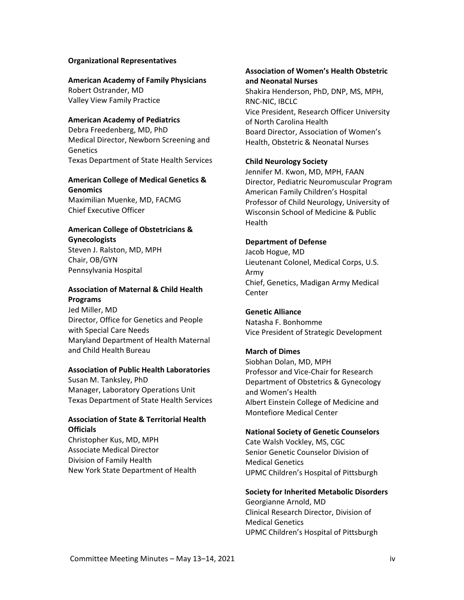#### **Organizational Representatives**

#### **American Academy of Family Physicians**

Robert Ostrander, MD Valley View Family Practice

#### **American Academy of Pediatrics**

Debra Freedenberg, MD, PhD Medical Director, Newborn Screening and **Genetics** Texas Department of State Health Services

### **American College of Medical Genetics & Genomics**

Maximilian Muenke, MD, FACMG Chief Executive Officer

## **American College of Obstetricians & Gynecologists**

Steven J. Ralston, MD, MPH Chair, OB/GYN Pennsylvania Hospital

## **Association of Maternal & Child Health Programs**

Jed Miller, MD Director, Office for Genetics and People with Special Care Needs Maryland Department of Health Maternal and Child Health Bureau

#### **Association of Public Health Laboratories**

Susan M. Tanksley, PhD Manager, Laboratory Operations Unit Texas Department of State Health Services

### **Association of State & Territorial Health Officials**

Christopher Kus, MD, MPH Associate Medical Director Division of Family Health New York State Department of Health

### **Association of Women's Health Obstetric and Neonatal Nurses**

Shakira Henderson, PhD, DNP, MS, MPH, RNC-NIC, IBCLC Vice President, Research Officer University of North Carolina Health Board Director, Association of Women's Health, Obstetric & Neonatal Nurses

#### **Child Neurology Society**

Jennifer M. Kwon, MD, MPH, FAAN Director, Pediatric Neuromuscular Program American Family Children's Hospital Professor of Child Neurology, University of Wisconsin School of Medicine & Public Health

#### **Department of Defense**

Jacob Hogue, MD Lieutenant Colonel, Medical Corps, U.S. Army Chief, Genetics, Madigan Army Medical **Center** 

#### **Genetic Alliance**

Natasha F. Bonhomme Vice President of Strategic Development

#### **March of Dimes**

Siobhan Dolan, MD, MPH Professor and Vice-Chair for Research Department of Obstetrics & Gynecology and Women's Health Albert Einstein College of Medicine and Montefiore Medical Center

#### **National Society of Genetic Counselors**

Cate Walsh Vockley, MS, CGC Senior Genetic Counselor Division of Medical Genetics UPMC Children's Hospital of Pittsburgh

#### **Society for Inherited Metabolic Disorders**

Georgianne Arnold, MD Clinical Research Director, Division of Medical Genetics UPMC Children's Hospital of Pittsburgh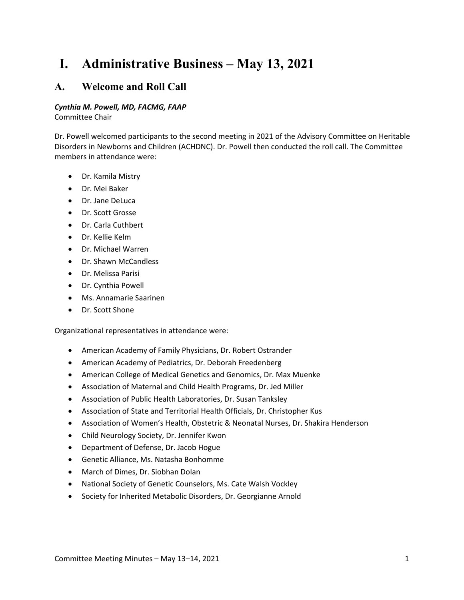# <span id="page-4-0"></span>**I. Administrative Business – May 13, 2021**

## <span id="page-4-1"></span>**A. Welcome and Roll Call**

## *Cynthia M. Powell, MD, FACMG, FAAP*

Committee Chair

Dr. Powell welcomed participants to the second meeting in 2021 of the Advisory Committee on Heritable Disorders in Newborns and Children (ACHDNC). Dr. Powell then conducted the roll call. The Committee members in attendance were:

- Dr. Kamila Mistry
- Dr. Mei Baker
- Dr. Jane DeLuca
- Dr. Scott Grosse
- Dr. Carla Cuthbert
- Dr. Kellie Kelm
- Dr. Michael Warren
- Dr. Shawn McCandless
- Dr. Melissa Parisi
- Dr. Cynthia Powell
- Ms. Annamarie Saarinen
- Dr. Scott Shone

Organizational representatives in attendance were:

- American Academy of Family Physicians, Dr. Robert Ostrander
- American Academy of Pediatrics, Dr. Deborah Freedenberg
- American College of Medical Genetics and Genomics, Dr. Max Muenke
- Association of Maternal and Child Health Programs, Dr. Jed Miller
- Association of Public Health Laboratories, Dr. Susan Tanksley
- Association of State and Territorial Health Officials, Dr. Christopher Kus
- Association of Women's Health, Obstetric & Neonatal Nurses, Dr. Shakira Henderson
- Child Neurology Society, Dr. Jennifer Kwon
- Department of Defense, Dr. Jacob Hogue
- Genetic Alliance, Ms. Natasha Bonhomme
- March of Dimes, Dr. Siobhan Dolan
- National Society of Genetic Counselors, Ms. Cate Walsh Vockley
- <span id="page-4-2"></span>• Society for Inherited Metabolic Disorders, Dr. Georgianne Arnold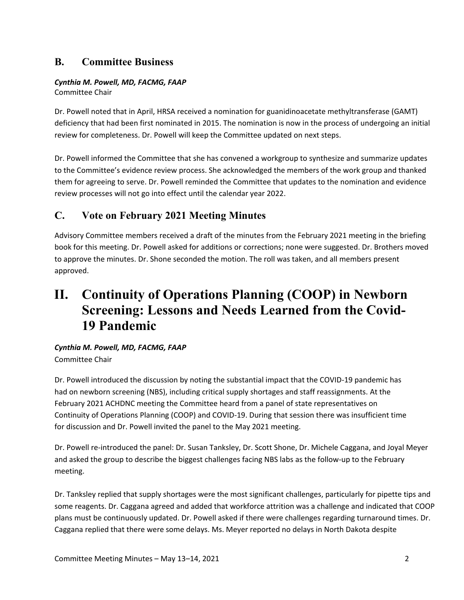# **B. Committee Business**

## *Cynthia M. Powell, MD, FACMG, FAAP*

Committee Chair

Dr. Powell noted that in April, HRSA received a nomination for guanidinoacetate methyltransferase (GAMT) deficiency that had been first nominated in 2015. The nomination is now in the process of undergoing an initial review for completeness. Dr. Powell will keep the Committee updated on next steps.

Dr. Powell informed the Committee that she has convened a workgroup to synthesize and summarize updates to the Committee's evidence review process. She acknowledged the members of the work group and thanked them for agreeing to serve. Dr. Powell reminded the Committee that updates to the nomination and evidence review processes will not go into effect until the calendar year 2022.

# <span id="page-5-0"></span>**C. Vote on February 2021 Meeting Minutes**

Advisory Committee members received a draft of the minutes from the February 2021 meeting in the briefing book for this meeting. Dr. Powell asked for additions or corrections; none were suggested. Dr. Brothers moved to approve the minutes. Dr. Shone seconded the motion. The roll was taken, and all members present approved.

# <span id="page-5-1"></span>**II. Continuity of Operations Planning (COOP) in Newborn Screening: Lessons and Needs Learned from the Covid-19 Pandemic**

## *Cynthia M. Powell, MD, FACMG, FAAP*  Committee Chair

Dr. Powell introduced the discussion by noting the substantial impact that the COVID-19 pandemic has had on newborn screening (NBS), including critical supply shortages and staff reassignments. At the February 2021 ACHDNC meeting the Committee heard from a panel of state representatives on Continuity of Operations Planning (COOP) and COVID-19. During that session there was insufficient time for discussion and Dr. Powell invited the panel to the May 2021 meeting.

Dr. Powell re-introduced the panel: Dr. Susan Tanksley, Dr. Scott Shone, Dr. Michele Caggana, and Joyal Meyer and asked the group to describe the biggest challenges facing NBS labs as the follow-up to the February meeting.

Dr. Tanksley replied that supply shortages were the most significant challenges, particularly for pipette tips and some reagents. Dr. Caggana agreed and added that workforce attrition was a challenge and indicated that COOP plans must be continuously updated. Dr. Powell asked if there were challenges regarding turnaround times. Dr. Caggana replied that there were some delays. Ms. Meyer reported no delays in North Dakota despite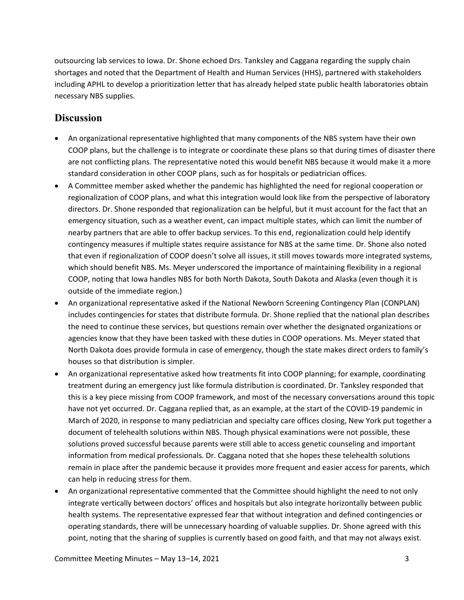outsourcing lab services to Iowa. Dr. Shone echoed Drs. Tanksley and Caggana regarding the supply chain shortages and noted that the Department of Health and Human Services (HHS), partnered with stakeholders including APHL to develop a prioritization letter that has already helped state public health laboratories obtain necessary NBS supplies.

## **Discussion**

- An organizational representative highlighted that many components of the NBS system have their own COOP plans, but the challenge is to integrate or coordinate these plans so that during times of disaster there are not conflicting plans. The representative noted this would benefit NBS because it would make it a more standard consideration in other COOP plans, such as for hospitals or pediatrician offices.
- A Committee member asked whether the pandemic has highlighted the need for regional cooperation or regionalization of COOP plans, and what this integration would look like from the perspective of laboratory directors. Dr. Shone responded that regionalization can be helpful, but it must account for the fact that an emergency situation, such as a weather event, can impact multiple states, which can limit the number of nearby partners that are able to offer backup services. To this end, regionalization could help identify contingency measures if multiple states require assistance for NBS at the same time. Dr. Shone also noted that even if regionalization of COOP doesn't solve all issues, it still moves towards more integrated systems, which should benefit NBS. Ms. Meyer underscored the importance of maintaining flexibility in a regional COOP, noting that Iowa handles NBS for both North Dakota, South Dakota and Alaska (even though it is outside of the immediate region.)
- An organizational representative asked if the National Newborn Screening Contingency Plan (CONPLAN) includes contingencies for states that distribute formula. Dr. Shone replied that the national plan describes the need to continue these services, but questions remain over whether the designated organizations or agencies know that they have been tasked with these duties in COOP operations. Ms. Meyer stated that North Dakota does provide formula in case of emergency, though the state makes direct orders to family's houses so that distribution is simpler.
- An organizational representative asked how treatments fit into COOP planning; for example, coordinating treatment during an emergency just like formula distribution is coordinated. Dr. Tanksley responded that this is a key piece missing from COOP framework, and most of the necessary conversations around this topic have not yet occurred. Dr. Caggana replied that, as an example, at the start of the COVID-19 pandemic in March of 2020, in response to many pediatrician and specialty care offices closing, New York put together a document of telehealth solutions within NBS. Though physical examinations were not possible, these solutions proved successful because parents were still able to access genetic counseling and important information from medical professionals. Dr. Caggana noted that she hopes these telehealth solutions remain in place after the pandemic because it provides more frequent and easier access for parents, which can help in reducing stress for them.
- An organizational representative commented that the Committee should highlight the need to not only integrate vertically between doctors' offices and hospitals but also integrate horizontally between public health systems. The representative expressed fear that without integration and defined contingencies or operating standards, there will be unnecessary hoarding of valuable supplies. Dr. Shone agreed with this point, noting that the sharing of supplies is currently based on good faith, and that may not always exist.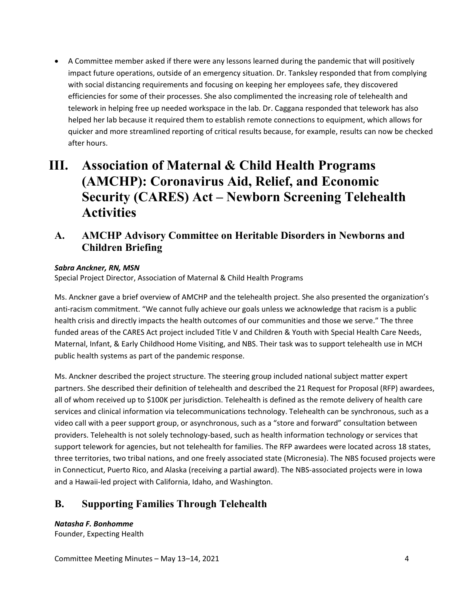• A Committee member asked if there were any lessons learned during the pandemic that will positively impact future operations, outside of an emergency situation. Dr. Tanksley responded that from complying with social distancing requirements and focusing on keeping her employees safe, they discovered efficiencies for some of their processes. She also complimented the increasing role of telehealth and telework in helping free up needed workspace in the lab. Dr. Caggana responded that telework has also helped her lab because it required them to establish remote connections to equipment, which allows for quicker and more streamlined reporting of critical results because, for example, results can now be checked after hours.

# <span id="page-7-0"></span>**III. Association of Maternal & Child Health Programs (AMCHP): Coronavirus Aid, Relief, and Economic Security (CARES) Act – Newborn Screening Telehealth Activities**

<span id="page-7-1"></span>**A. AMCHP Advisory Committee on Heritable Disorders in Newborns and Children Briefing**

## *Sabra Anckner, RN, MSN*

Special Project Director, Association of Maternal & Child Health Programs

Ms. Anckner gave a brief overview of AMCHP and the telehealth project. She also presented the organization's anti-racism commitment. "We cannot fully achieve our goals unless we acknowledge that racism is a public health crisis and directly impacts the health outcomes of our communities and those we serve." The three funded areas of the CARES Act project included Title V and Children & Youth with Special Health Care Needs, Maternal, Infant, & Early Childhood Home Visiting, and NBS. Their task was to support telehealth use in MCH public health systems as part of the pandemic response.

Ms. Anckner described the project structure. The steering group included national subject matter expert partners. She described their definition of telehealth and described the 21 Request for Proposal (RFP) awardees, all of whom received up to \$100K per jurisdiction. Telehealth is defined as the remote delivery of health care services and clinical information via telecommunications technology. Telehealth can be synchronous, such as a video call with a peer support group, or asynchronous, such as a "store and forward" consultation between providers. Telehealth is not solely technology-based, such as health information technology or services that support telework for agencies, but not telehealth for families. The RFP awardees were located across 18 states, three territories, two tribal nations, and one freely associated state (Micronesia). The NBS focused projects were in Connecticut, Puerto Rico, and Alaska (receiving a partial award). The NBS-associated projects were in Iowa and a Hawaii-led project with California, Idaho, and Washington.

# <span id="page-7-2"></span>**B. Supporting Families Through Telehealth**

*Natasha F. Bonhomme* Founder, Expecting Health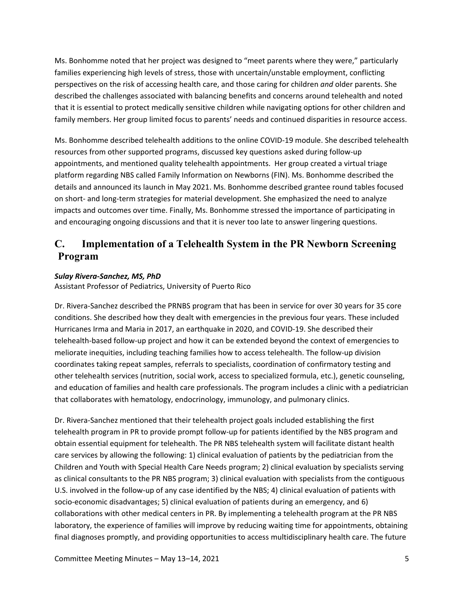Ms. Bonhomme noted that her project was designed to "meet parents where they were," particularly families experiencing high levels of stress, those with uncertain/unstable employment, conflicting perspectives on the risk of accessing health care, and those caring for children *and* older parents. She described the challenges associated with balancing benefits and concerns around telehealth and noted that it is essential to protect medically sensitive children while navigating options for other children and family members. Her group limited focus to parents' needs and continued disparities in resource access.

Ms. Bonhomme described telehealth additions to the online COVID-19 module. She described telehealth resources from other supported programs, discussed key questions asked during follow-up appointments, and mentioned quality telehealth appointments. Her group created a virtual triage platform regarding NBS called Family Information on Newborns (FIN). Ms. Bonhomme described the details and announced its launch in May 2021. Ms. Bonhomme described grantee round tables focused on short- and long-term strategies for material development. She emphasized the need to analyze impacts and outcomes over time. Finally, Ms. Bonhomme stressed the importance of participating in and encouraging ongoing discussions and that it is never too late to answer lingering questions.

## <span id="page-8-0"></span>**C. Implementation of a Telehealth System in the PR Newborn Screening Program**

## *Sulay Rivera-Sanchez, MS, PhD*

Assistant Professor of Pediatrics, University of Puerto Rico

Dr. Rivera-Sanchez described the PRNBS program that has been in service for over 30 years for 35 core conditions. She described how they dealt with emergencies in the previous four years. These included Hurricanes Irma and Maria in 2017, an earthquake in 2020, and COVID-19. She described their telehealth-based follow-up project and how it can be extended beyond the context of emergencies to meliorate inequities, including teaching families how to access telehealth. The follow-up division coordinates taking repeat samples, referrals to specialists, coordination of confirmatory testing and other telehealth services (nutrition, social work, access to specialized formula, etc.), genetic counseling, and education of families and health care professionals. The program includes a clinic with a pediatrician that collaborates with hematology, endocrinology, immunology, and pulmonary clinics.

Dr. Rivera-Sanchez mentioned that their telehealth project goals included establishing the first telehealth program in PR to provide prompt follow-up for patients identified by the NBS program and obtain essential equipment for telehealth. The PR NBS telehealth system will facilitate distant health care services by allowing the following: 1) clinical evaluation of patients by the pediatrician from the Children and Youth with Special Health Care Needs program; 2) clinical evaluation by specialists serving as clinical consultants to the PR NBS program; 3) clinical evaluation with specialists from the contiguous U.S. involved in the follow-up of any case identified by the NBS; 4) clinical evaluation of patients with socio-economic disadvantages; 5) clinical evaluation of patients during an emergency, and 6) collaborations with other medical centers in PR. By implementing a telehealth program at the PR NBS laboratory, the experience of families will improve by reducing waiting time for appointments, obtaining final diagnoses promptly, and providing opportunities to access multidisciplinary health care. The future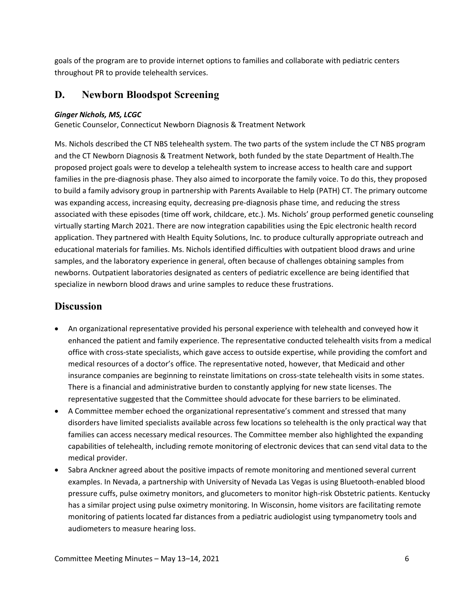goals of the program are to provide internet options to families and collaborate with pediatric centers throughout PR to provide telehealth services.

## <span id="page-9-0"></span>**D. Newborn Bloodspot Screening**

#### *Ginger Nichols, MS, LCGC*

Genetic Counselor, Connecticut Newborn Diagnosis & Treatment Network

Ms. Nichols described the CT NBS telehealth system. The two parts of the system include the CT NBS program and the CT Newborn Diagnosis & Treatment Network, both funded by the state Department of Health.The proposed project goals were to develop a telehealth system to increase access to health care and support families in the pre-diagnosis phase. They also aimed to incorporate the family voice. To do this, they proposed to build a family advisory group in partnership with Parents Available to Help (PATH) CT. The primary outcome was expanding access, increasing equity, decreasing pre-diagnosis phase time, and reducing the stress associated with these episodes (time off work, childcare, etc.). Ms. Nichols' group performed genetic counseling virtually starting March 2021. There are now integration capabilities using the Epic electronic health record application. They partnered with Health Equity Solutions, Inc. to produce culturally appropriate outreach and educational materials for families. Ms. Nichols identified difficulties with outpatient blood draws and urine samples, and the laboratory experience in general, often because of challenges obtaining samples from newborns. Outpatient laboratories designated as centers of pediatric excellence are being identified that specialize in newborn blood draws and urine samples to reduce these frustrations.

## **Discussion**

- An organizational representative provided his personal experience with telehealth and conveyed how it enhanced the patient and family experience. The representative conducted telehealth visits from a medical office with cross-state specialists, which gave access to outside expertise, while providing the comfort and medical resources of a doctor's office. The representative noted, however, that Medicaid and other insurance companies are beginning to reinstate limitations on cross-state telehealth visits in some states. There is a financial and administrative burden to constantly applying for new state licenses. The representative suggested that the Committee should advocate for these barriers to be eliminated.
- A Committee member echoed the organizational representative's comment and stressed that many disorders have limited specialists available across few locations so telehealth is the only practical way that families can access necessary medical resources. The Committee member also highlighted the expanding capabilities of telehealth, including remote monitoring of electronic devices that can send vital data to the medical provider.
- Sabra Anckner agreed about the positive impacts of remote monitoring and mentioned several current examples. In Nevada, a partnership with University of Nevada Las Vegas is using Bluetooth-enabled blood pressure cuffs, pulse oximetry monitors, and glucometers to monitor high-risk Obstetric patients. Kentucky has a similar project using pulse oximetry monitoring. In Wisconsin, home visitors are facilitating remote monitoring of patients located far distances from a pediatric audiologist using tympanometry tools and audiometers to measure hearing loss.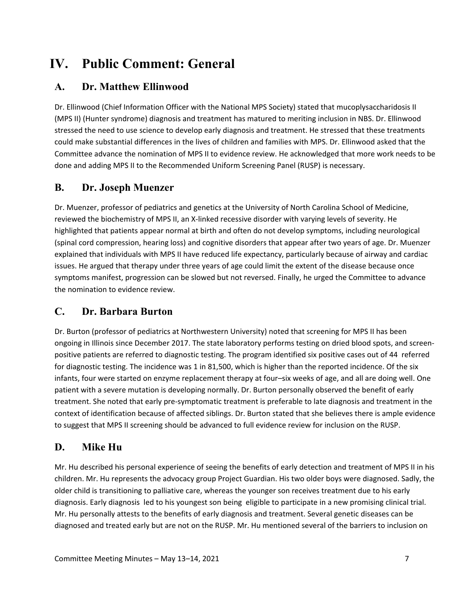# <span id="page-10-0"></span>**IV. Public Comment: General**

# <span id="page-10-1"></span>**A. Dr. Matthew Ellinwood**

Dr. Ellinwood (Chief Information Officer with the National MPS Society) stated that mucoplysaccharidosis II (MPS II) (Hunter syndrome) diagnosis and treatment has matured to meriting inclusion in NBS. Dr. Ellinwood stressed the need to use science to develop early diagnosis and treatment. He stressed that these treatments could make substantial differences in the lives of children and families with MPS. Dr. Ellinwood asked that the Committee advance the nomination of MPS II to evidence review. He acknowledged that more work needs to be done and adding MPS II to the Recommended Uniform Screening Panel (RUSP) is necessary.

# <span id="page-10-2"></span>**B. Dr. Joseph Muenzer**

Dr. Muenzer, professor of pediatrics and genetics at the University of North Carolina School of Medicine, reviewed the biochemistry of MPS II, an X-linked recessive disorder with varying levels of severity. He highlighted that patients appear normal at birth and often do not develop symptoms, including neurological (spinal cord compression, hearing loss) and cognitive disorders that appear after two years of age. Dr. Muenzer explained that individuals with MPS II have reduced life expectancy, particularly because of airway and cardiac issues. He argued that therapy under three years of age could limit the extent of the disease because once symptoms manifest, progression can be slowed but not reversed. Finally, he urged the Committee to advance the nomination to evidence review.

# <span id="page-10-3"></span>**C. Dr. Barbara Burton**

Dr. Burton (professor of pediatrics at Northwestern University) noted that screening for MPS II has been ongoing in Illinois since December 2017. The state laboratory performs testing on dried blood spots, and screenpositive patients are referred to diagnostic testing. The program identified six positive cases out of 44 referred for diagnostic testing. The incidence was 1 in 81,500, which is higher than the reported incidence. Of the six infants, four were started on enzyme replacement therapy at four–six weeks of age, and all are doing well. One patient with a severe mutation is developing normally. Dr. Burton personally observed the benefit of early treatment. She noted that early pre-symptomatic treatment is preferable to late diagnosis and treatment in the context of identification because of affected siblings. Dr. Burton stated that she believes there is ample evidence to suggest that MPS II screening should be advanced to full evidence review for inclusion on the RUSP.

# <span id="page-10-4"></span>**D. Mike Hu**

Mr. Hu described his personal experience of seeing the benefits of early detection and treatment of MPS II in his children. Mr. Hu represents the advocacy group Project Guardian. His two older boys were diagnosed. Sadly, the older child is transitioning to palliative care, whereas the younger son receives treatment due to his early diagnosis. Early diagnosis led to his youngest son being eligible to participate in a new promising clinical trial. Mr. Hu personally attests to the benefits of early diagnosis and treatment. Several genetic diseases can be diagnosed and treated early but are not on the RUSP. Mr. Hu mentioned several of the barriers to inclusion on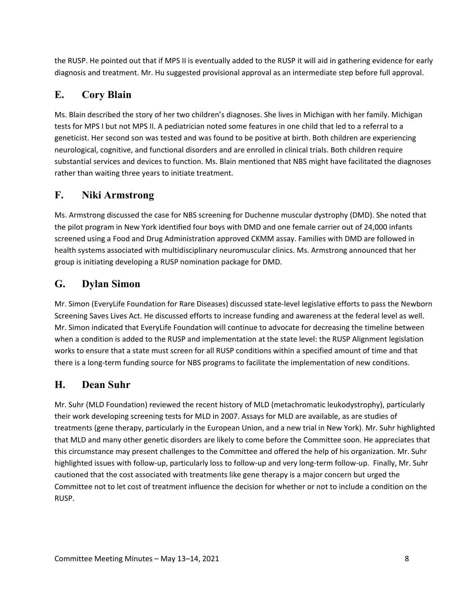the RUSP. He pointed out that if MPS II is eventually added to the RUSP it will aid in gathering evidence for early diagnosis and treatment. Mr. Hu suggested provisional approval as an intermediate step before full approval.

## <span id="page-11-0"></span>**E. Cory Blain**

Ms. Blain described the story of her two children's diagnoses. She lives in Michigan with her family. Michigan tests for MPS I but not MPS II. A pediatrician noted some features in one child that led to a referral to a geneticist. Her second son was tested and was found to be positive at birth. Both children are experiencing neurological, cognitive, and functional disorders and are enrolled in clinical trials. Both children require substantial services and devices to function. Ms. Blain mentioned that NBS might have facilitated the diagnoses rather than waiting three years to initiate treatment.

## <span id="page-11-1"></span>**F. Niki Armstrong**

Ms. Armstrong discussed the case for NBS screening for Duchenne muscular dystrophy (DMD). She noted that the pilot program in New York identified four boys with DMD and one female carrier out of 24,000 infants screened using a Food and Drug Administration approved CKMM assay. Families with DMD are followed in health systems associated with multidisciplinary neuromuscular clinics. Ms. Armstrong announced that her group is initiating developing a RUSP nomination package for DMD.

## <span id="page-11-2"></span>**G. Dylan Simon**

Mr. Simon (EveryLife Foundation for Rare Diseases) discussed state-level legislative efforts to pass the Newborn Screening Saves Lives Act. He discussed efforts to increase funding and awareness at the federal level as well. Mr. Simon indicated that EveryLife Foundation will continue to advocate for decreasing the timeline between when a condition is added to the RUSP and implementation at the state level: the RUSP Alignment legislation works to ensure that a state must screen for all RUSP conditions within a specified amount of time and that there is a long-term funding source for NBS programs to facilitate the implementation of new conditions.

# <span id="page-11-3"></span>**H. Dean Suhr**

Mr. Suhr (MLD Foundation) reviewed the recent history of MLD (metachromatic leukodystrophy), particularly their work developing screening tests for MLD in 2007. Assays for MLD are available, as are studies of treatments (gene therapy, particularly in the European Union, and a new trial in New York). Mr. Suhr highlighted that MLD and many other genetic disorders are likely to come before the Committee soon. He appreciates that this circumstance may present challenges to the Committee and offered the help of his organization. Mr. Suhr highlighted issues with follow-up, particularly loss to follow-up and very long-term follow-up. Finally, Mr. Suhr cautioned that the cost associated with treatments like gene therapy is a major concern but urged the Committee not to let cost of treatment influence the decision for whether or not to include a condition on the RUSP.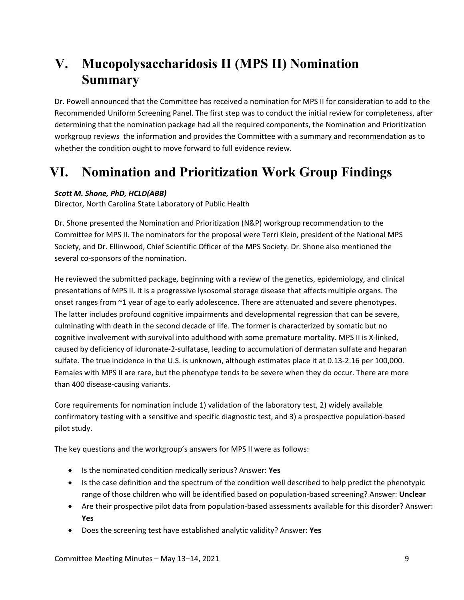# <span id="page-12-0"></span>**V. Mucopolysaccharidosis II (MPS II) Nomination Summary**

Dr. Powell announced that the Committee has received a nomination for MPS II for consideration to add to the Recommended Uniform Screening Panel. The first step was to conduct the initial review for completeness, after determining that the nomination package had all the required components, the Nomination and Prioritization workgroup reviews the information and provides the Committee with a summary and recommendation as to whether the condition ought to move forward to full evidence review.

# <span id="page-12-1"></span>**VI. Nomination and Prioritization Work Group Findings**

## *Scott M. Shone, PhD, HCLD(ABB)*

Director, North Carolina State Laboratory of Public Health

Dr. Shone presented the Nomination and Prioritization (N&P) workgroup recommendation to the Committee for MPS II. The nominators for the proposal were Terri Klein, president of the National MPS Society, and Dr. Ellinwood, Chief Scientific Officer of the MPS Society. Dr. Shone also mentioned the several co-sponsors of the nomination.

He reviewed the submitted package, beginning with a review of the genetics, epidemiology, and clinical presentations of MPS II. It is a progressive lysosomal storage disease that affects multiple organs. The onset ranges from ~1 year of age to early adolescence. There are attenuated and severe phenotypes. The latter includes profound cognitive impairments and developmental regression that can be severe, culminating with death in the second decade of life. The former is characterized by somatic but no cognitive involvement with survival into adulthood with some premature mortality. MPS II is X-linked, caused by deficiency of iduronate-2-sulfatase, leading to accumulation of dermatan sulfate and heparan sulfate. The true incidence in the U.S. is unknown, although estimates place it at 0.13-2.16 per 100,000. Females with MPS II are rare, but the phenotype tends to be severe when they do occur. There are more than 400 disease-causing variants.

Core requirements for nomination include 1) validation of the laboratory test, 2) widely available confirmatory testing with a sensitive and specific diagnostic test, and 3) a prospective population-based pilot study.

The key questions and the workgroup's answers for MPS II were as follows:

- Is the nominated condition medically serious? Answer: **Yes**
- Is the case definition and the spectrum of the condition well described to help predict the phenotypic range of those children who will be identified based on population-based screening? Answer: **Unclear**
- Are their prospective pilot data from population-based assessments available for this disorder? Answer: **Yes**
- Does the screening test have established analytic validity? Answer: **Yes**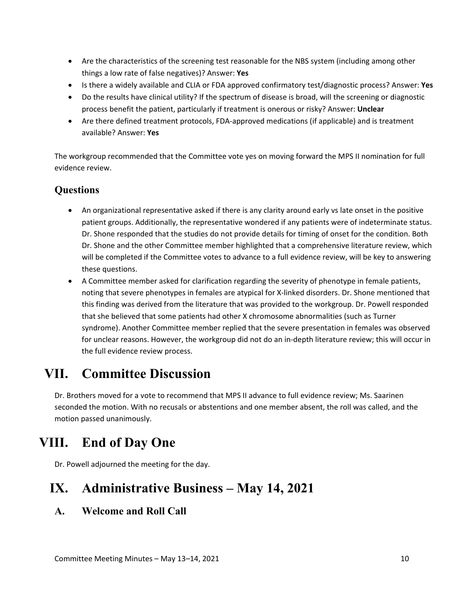- Are the characteristics of the screening test reasonable for the NBS system (including among other things a low rate of false negatives)? Answer: **Yes**
- Is there a widely available and CLIA or FDA approved confirmatory test/diagnostic process? Answer: **Yes**
- Do the results have clinical utility? If the spectrum of disease is broad, will the screening or diagnostic process benefit the patient, particularly if treatment is onerous or risky? Answer: **Unclear**
- Are there defined treatment protocols, FDA-approved medications (if applicable) and is treatment available? Answer: **Yes**

The workgroup recommended that the Committee vote yes on moving forward the MPS II nomination for full evidence review.

## **Questions**

- An organizational representative asked if there is any clarity around early vs late onset in the positive patient groups. Additionally, the representative wondered if any patients were of indeterminate status. Dr. Shone responded that the studies do not provide details for timing of onset for the condition. Both Dr. Shone and the other Committee member highlighted that a comprehensive literature review, which will be completed if the Committee votes to advance to a full evidence review, will be key to answering these questions.
- A Committee member asked for clarification regarding the severity of phenotype in female patients, noting that severe phenotypes in females are atypical for X-linked disorders. Dr. Shone mentioned that this finding was derived from the literature that was provided to the workgroup. Dr. Powell responded that she believed that some patients had other X chromosome abnormalities (such as Turner syndrome). Another Committee member replied that the severe presentation in females was observed for unclear reasons. However, the workgroup did not do an in-depth literature review; this will occur in the full evidence review process.

# <span id="page-13-0"></span>**VII. Committee Discussion**

Dr. Brothers moved for a vote to recommend that MPS II advance to full evidence review; Ms. Saarinen seconded the motion. With no recusals or abstentions and one member absent, the roll was called, and the motion passed unanimously.

# <span id="page-13-1"></span>**VIII. End of Day One**

Dr. Powell adjourned the meeting for the day.

# <span id="page-13-2"></span>**IX. Administrative Business – May 14, 2021**

# <span id="page-13-3"></span>**A. Welcome and Roll Call**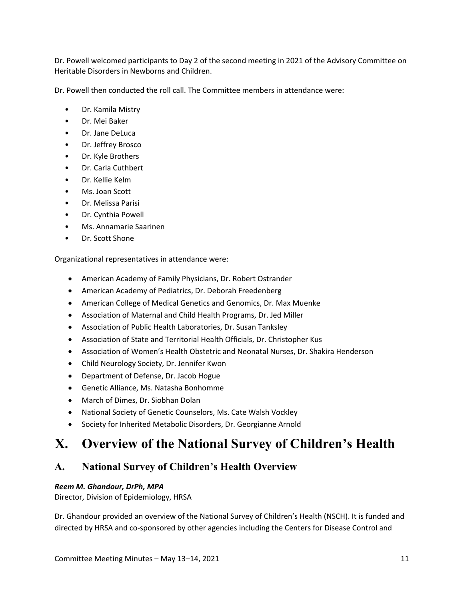Dr. Powell welcomed participants to Day 2 of the second meeting in 2021 of the Advisory Committee on Heritable Disorders in Newborns and Children.

Dr. Powell then conducted the roll call. The Committee members in attendance were:

- Dr. Kamila Mistry
- Dr. Mei Baker
- Dr. Jane DeLuca
- Dr. Jeffrey Brosco
- Dr. Kyle Brothers
- Dr. Carla Cuthbert
- Dr. Kellie Kelm
- Ms. Joan Scott
- Dr. Melissa Parisi
- Dr. Cynthia Powell
- Ms. Annamarie Saarinen
- Dr. Scott Shone

Organizational representatives in attendance were:

- American Academy of Family Physicians, Dr. Robert Ostrander
- American Academy of Pediatrics, Dr. Deborah Freedenberg
- American College of Medical Genetics and Genomics, Dr. Max Muenke
- Association of Maternal and Child Health Programs, Dr. Jed Miller
- Association of Public Health Laboratories, Dr. Susan Tanksley
- Association of State and Territorial Health Officials, Dr. Christopher Kus
- Association of Women's Health Obstetric and Neonatal Nurses, Dr. Shakira Henderson
- Child Neurology Society, Dr. Jennifer Kwon
- Department of Defense, Dr. Jacob Hogue
- Genetic Alliance, Ms. Natasha Bonhomme
- March of Dimes, Dr. Siobhan Dolan
- National Society of Genetic Counselors, Ms. Cate Walsh Vockley
- Society for Inherited Metabolic Disorders, Dr. Georgianne Arnold

# <span id="page-14-0"></span>**X. Overview of the National Survey of Children's Health**

## <span id="page-14-1"></span>**A. National Survey of Children's Health Overview**

### *Reem M. Ghandour, DrPh, MPA*

Director, Division of Epidemiology, HRSA

Dr. Ghandour provided an overview of the National Survey of Children's Health (NSCH). It is funded and directed by HRSA and co-sponsored by other agencies including the Centers for Disease Control and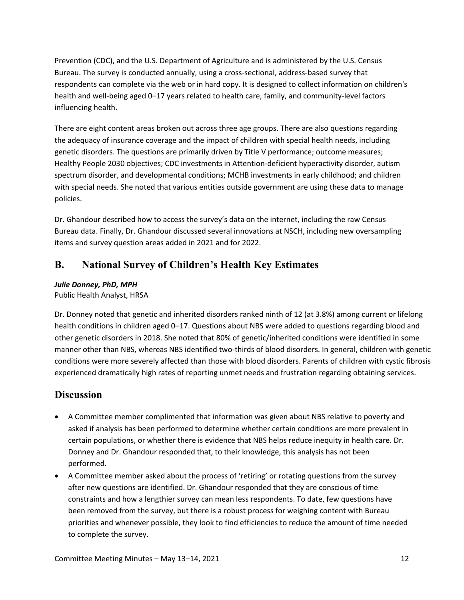Prevention (CDC), and the U.S. Department of Agriculture and is administered by the U.S. Census Bureau. The survey is conducted annually, using a cross-sectional, address-based survey that respondents can complete via the web or in hard copy. It is designed to collect information on children's health and well-being aged 0–17 years related to health care, family, and community-level factors influencing health.

There are eight content areas broken out across three age groups. There are also questions regarding the adequacy of insurance coverage and the impact of children with special health needs, including genetic disorders. The questions are primarily driven by Title V performance; outcome measures; Healthy People 2030 objectives; CDC investments in Attention-deficient hyperactivity disorder, autism spectrum disorder, and developmental conditions; MCHB investments in early childhood; and children with special needs. She noted that various entities outside government are using these data to manage policies.

Dr. Ghandour described how to access the survey's data on the internet, including the raw Census Bureau data. Finally, Dr. Ghandour discussed several innovations at NSCH, including new oversampling items and survey question areas added in 2021 and for 2022.

## <span id="page-15-0"></span>**B. National Survey of Children's Health Key Estimates**

## *Julie Donney, PhD, MPH*

Public Health Analyst, HRSA

Dr. Donney noted that genetic and inherited disorders ranked ninth of 12 (at 3.8%) among current or lifelong health conditions in children aged 0–17. Questions about NBS were added to questions regarding blood and other genetic disorders in 2018. She noted that 80% of genetic/inherited conditions were identified in some manner other than NBS, whereas NBS identified two-thirds of blood disorders. In general, children with genetic conditions were more severely affected than those with blood disorders. Parents of children with cystic fibrosis experienced dramatically high rates of reporting unmet needs and frustration regarding obtaining services.

## **Discussion**

- A Committee member complimented that information was given about NBS relative to poverty and asked if analysis has been performed to determine whether certain conditions are more prevalent in certain populations, or whether there is evidence that NBS helps reduce inequity in health care. Dr. Donney and Dr. Ghandour responded that, to their knowledge, this analysis has not been performed.
- A Committee member asked about the process of 'retiring' or rotating questions from the survey after new questions are identified. Dr. Ghandour responded that they are conscious of time constraints and how a lengthier survey can mean less respondents. To date, few questions have been removed from the survey, but there is a robust process for weighing content with Bureau priorities and whenever possible, they look to find efficiencies to reduce the amount of time needed to complete the survey.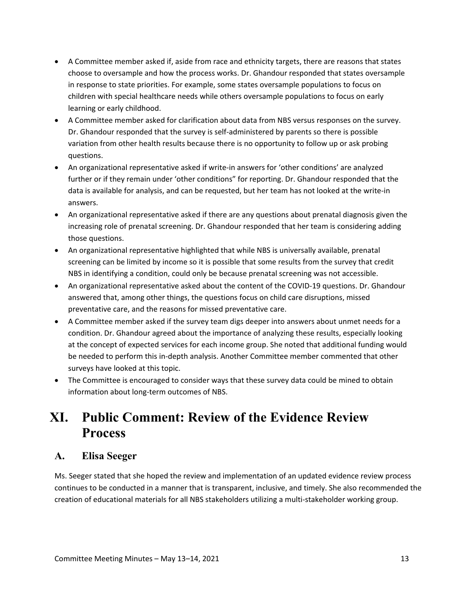- A Committee member asked if, aside from race and ethnicity targets, there are reasons that states choose to oversample and how the process works. Dr. Ghandour responded that states oversample in response to state priorities. For example, some states oversample populations to focus on children with special healthcare needs while others oversample populations to focus on early learning or early childhood.
- A Committee member asked for clarification about data from NBS versus responses on the survey. Dr. Ghandour responded that the survey is self-administered by parents so there is possible variation from other health results because there is no opportunity to follow up or ask probing questions.
- An organizational representative asked if write-in answers for 'other conditions' are analyzed further or if they remain under 'other conditions" for reporting. Dr. Ghandour responded that the data is available for analysis, and can be requested, but her team has not looked at the write-in answers.
- An organizational representative asked if there are any questions about prenatal diagnosis given the increasing role of prenatal screening. Dr. Ghandour responded that her team is considering adding those questions.
- An organizational representative highlighted that while NBS is universally available, prenatal screening can be limited by income so it is possible that some results from the survey that credit NBS in identifying a condition, could only be because prenatal screening was not accessible.
- An organizational representative asked about the content of the COVID-19 questions. Dr. Ghandour answered that, among other things, the questions focus on child care disruptions, missed preventative care, and the reasons for missed preventative care.
- A Committee member asked if the survey team digs deeper into answers about unmet needs for a condition. Dr. Ghandour agreed about the importance of analyzing these results, especially looking at the concept of expected services for each income group. She noted that additional funding would be needed to perform this in-depth analysis. Another Committee member commented that other surveys have looked at this topic.
- The Committee is encouraged to consider ways that these survey data could be mined to obtain information about long-term outcomes of NBS.

# <span id="page-16-0"></span>**XI. Public Comment: Review of the Evidence Review Process**

## <span id="page-16-1"></span>**A. Elisa Seeger**

Ms. Seeger stated that she hoped the review and implementation of an updated evidence review process continues to be conducted in a manner that is transparent, inclusive, and timely. She also recommended the creation of educational materials for all NBS stakeholders utilizing a multi-stakeholder working group.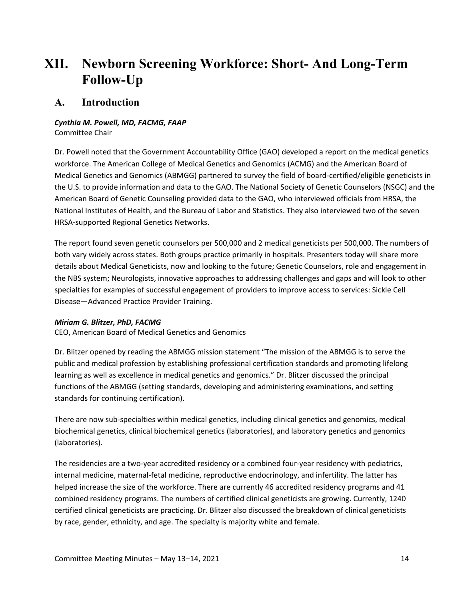# <span id="page-17-0"></span>**XII. Newborn Screening Workforce: Short- And Long-Term Follow-Up**

## <span id="page-17-1"></span>**A. Introduction**

### *Cynthia M. Powell, MD, FACMG, FAAP*  Committee Chair

Dr. Powell noted that the Government Accountability Office (GAO) developed a report on the medical genetics workforce. The American College of Medical Genetics and Genomics (ACMG) and the American Board of Medical Genetics and Genomics (ABMGG) partnered to survey the field of board-certified/eligible geneticists in the U.S. to provide information and data to the GAO. The National Society of Genetic Counselors (NSGC) and the American Board of Genetic Counseling provided data to the GAO, who interviewed officials from HRSA, the National Institutes of Health, and the Bureau of Labor and Statistics. They also interviewed two of the seven HRSA-supported Regional Genetics Networks.

The report found seven genetic counselors per 500,000 and 2 medical geneticists per 500,000. The numbers of both vary widely across states. Both groups practice primarily in hospitals. Presenters today will share more details about Medical Geneticists, now and looking to the future; Genetic Counselors, role and engagement in the NBS system; Neurologists, innovative approaches to addressing challenges and gaps and will look to other specialties for examples of successful engagement of providers to improve access to services: Sickle Cell Disease—Advanced Practice Provider Training.

## *Miriam G. Blitzer, PhD, FACMG*

CEO, American Board of Medical Genetics and Genomics

Dr. Blitzer opened by reading the ABMGG mission statement "The mission of the ABMGG is to serve the public and medical profession by establishing professional certification standards and promoting lifelong learning as well as excellence in medical genetics and genomics." Dr. Blitzer discussed the principal functions of the ABMGG (setting standards, developing and administering examinations, and setting standards for continuing certification).

There are now sub-specialties within medical genetics, including clinical genetics and genomics, medical biochemical genetics, clinical biochemical genetics (laboratories), and laboratory genetics and genomics (laboratories).

The residencies are a two-year accredited residency or a combined four-year residency with pediatrics, internal medicine, maternal-fetal medicine, reproductive endocrinology, and infertility. The latter has helped increase the size of the workforce. There are currently 46 accredited residency programs and 41 combined residency programs. The numbers of certified clinical geneticists are growing. Currently, 1240 certified clinical geneticists are practicing. Dr. Blitzer also discussed the breakdown of clinical geneticists by race, gender, ethnicity, and age. The specialty is majority white and female.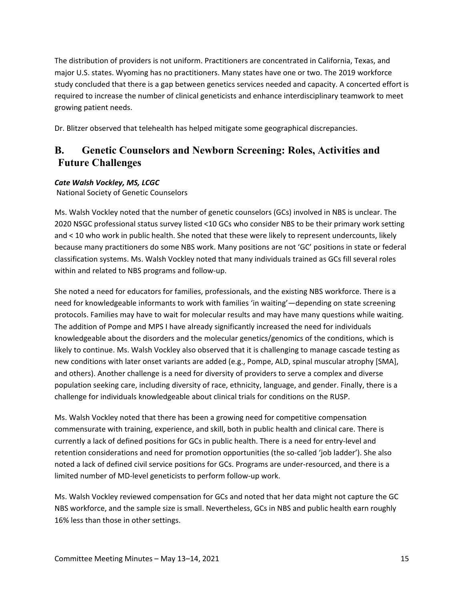The distribution of providers is not uniform. Practitioners are concentrated in California, Texas, and major U.S. states. Wyoming has no practitioners. Many states have one or two. The 2019 workforce study concluded that there is a gap between genetics services needed and capacity. A concerted effort is required to increase the number of clinical geneticists and enhance interdisciplinary teamwork to meet growing patient needs.

Dr. Blitzer observed that telehealth has helped mitigate some geographical discrepancies.

## <span id="page-18-0"></span>**B. Genetic Counselors and Newborn Screening: Roles, Activities and Future Challenges**

## *Cate Walsh Vockley, MS, LCGC*

National Society of Genetic Counselors

Ms. Walsh Vockley noted that the number of genetic counselors (GCs) involved in NBS is unclear. The 2020 NSGC professional status survey listed <10 GCs who consider NBS to be their primary work setting and < 10 who work in public health. She noted that these were likely to represent undercounts, likely because many practitioners do some NBS work. Many positions are not 'GC' positions in state or federal classification systems. Ms. Walsh Vockley noted that many individuals trained as GCs fill several roles within and related to NBS programs and follow-up.

She noted a need for educators for families, professionals, and the existing NBS workforce. There is a need for knowledgeable informants to work with families 'in waiting'—depending on state screening protocols. Families may have to wait for molecular results and may have many questions while waiting. The addition of Pompe and MPS I have already significantly increased the need for individuals knowledgeable about the disorders and the molecular genetics/genomics of the conditions, which is likely to continue. Ms. Walsh Vockley also observed that it is challenging to manage cascade testing as new conditions with later onset variants are added (e.g., Pompe, ALD, spinal muscular atrophy [SMA], and others). Another challenge is a need for diversity of providers to serve a complex and diverse population seeking care, including diversity of race, ethnicity, language, and gender. Finally, there is a challenge for individuals knowledgeable about clinical trials for conditions on the RUSP.

Ms. Walsh Vockley noted that there has been a growing need for competitive compensation commensurate with training, experience, and skill, both in public health and clinical care. There is currently a lack of defined positions for GCs in public health. There is a need for entry-level and retention considerations and need for promotion opportunities (the so-called 'job ladder'). She also noted a lack of defined civil service positions for GCs. Programs are under-resourced, and there is a limited number of MD-level geneticists to perform follow-up work.

Ms. Walsh Vockley reviewed compensation for GCs and noted that her data might not capture the GC NBS workforce, and the sample size is small. Nevertheless, GCs in NBS and public health earn roughly 16% less than those in other settings.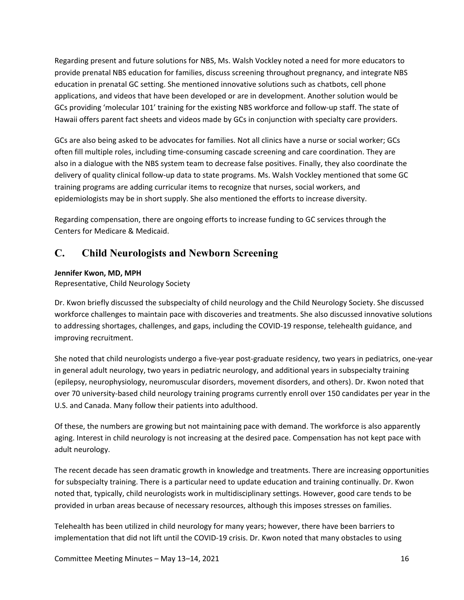Regarding present and future solutions for NBS, Ms. Walsh Vockley noted a need for more educators to provide prenatal NBS education for families, discuss screening throughout pregnancy, and integrate NBS education in prenatal GC setting. She mentioned innovative solutions such as chatbots, cell phone applications, and videos that have been developed or are in development. Another solution would be GCs providing 'molecular 101' training for the existing NBS workforce and follow-up staff. The state of Hawaii offers parent fact sheets and videos made by GCs in conjunction with specialty care providers.

GCs are also being asked to be advocates for families. Not all clinics have a nurse or social worker; GCs often fill multiple roles, including time-consuming cascade screening and care coordination. They are also in a dialogue with the NBS system team to decrease false positives. Finally, they also coordinate the delivery of quality clinical follow-up data to state programs. Ms. Walsh Vockley mentioned that some GC training programs are adding curricular items to recognize that nurses, social workers, and epidemiologists may be in short supply. She also mentioned the efforts to increase diversity.

Regarding compensation, there are ongoing efforts to increase funding to GC services through the Centers for Medicare & Medicaid.

## <span id="page-19-0"></span>**C. Child Neurologists and Newborn Screening**

## **Jennifer Kwon, MD, MPH**

Representative, Child Neurology Society

Dr. Kwon briefly discussed the subspecialty of child neurology and the Child Neurology Society. She discussed workforce challenges to maintain pace with discoveries and treatments. She also discussed innovative solutions to addressing shortages, challenges, and gaps, including the COVID-19 response, telehealth guidance, and improving recruitment.

She noted that child neurologists undergo a five-year post-graduate residency, two years in pediatrics, one-year in general adult neurology, two years in pediatric neurology, and additional years in subspecialty training (epilepsy, neurophysiology, neuromuscular disorders, movement disorders, and others). Dr. Kwon noted that over 70 university-based child neurology training programs currently enroll over 150 candidates per year in the U.S. and Canada. Many follow their patients into adulthood.

Of these, the numbers are growing but not maintaining pace with demand. The workforce is also apparently aging. Interest in child neurology is not increasing at the desired pace. Compensation has not kept pace with adult neurology.

The recent decade has seen dramatic growth in knowledge and treatments. There are increasing opportunities for subspecialty training. There is a particular need to update education and training continually. Dr. Kwon noted that, typically, child neurologists work in multidisciplinary settings. However, good care tends to be provided in urban areas because of necessary resources, although this imposes stresses on families.

Telehealth has been utilized in child neurology for many years; however, there have been barriers to implementation that did not lift until the COVID-19 crisis. Dr. Kwon noted that many obstacles to using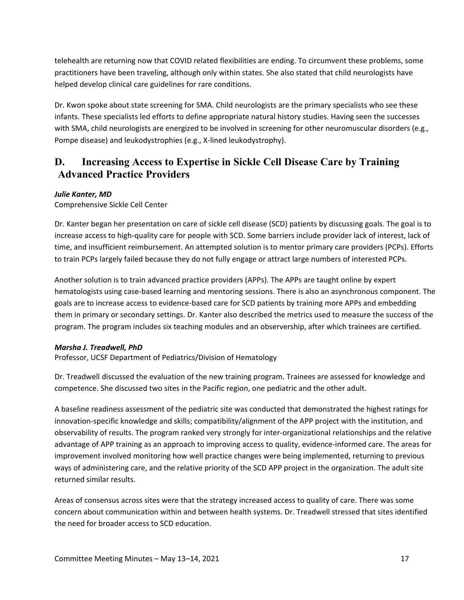telehealth are returning now that COVID related flexibilities are ending. To circumvent these problems, some practitioners have been traveling, although only within states. She also stated that child neurologists have helped develop clinical care guidelines for rare conditions.

Dr. Kwon spoke about state screening for SMA. Child neurologists are the primary specialists who see these infants. These specialists led efforts to define appropriate natural history studies. Having seen the successes with SMA, child neurologists are energized to be involved in screening for other neuromuscular disorders (e.g., Pompe disease) and leukodystrophies (e.g., X-lined leukodystrophy).

# <span id="page-20-0"></span>**D. Increasing Access to Expertise in Sickle Cell Disease Care by Training Advanced Practice Providers**

## *Julie Kanter, MD*

Comprehensive Sickle Cell Center

Dr. Kanter began her presentation on care of sickle cell disease (SCD) patients by discussing goals. The goal is to increase access to high-quality care for people with SCD. Some barriers include provider lack of interest, lack of time, and insufficient reimbursement. An attempted solution is to mentor primary care providers (PCPs). Efforts to train PCPs largely failed because they do not fully engage or attract large numbers of interested PCPs.

Another solution is to train advanced practice providers (APPs). The APPs are taught online by expert hematologists using case-based learning and mentoring sessions. There is also an asynchronous component. The goals are to increase access to evidence-based care for SCD patients by training more APPs and embedding them in primary or secondary settings. Dr. Kanter also described the metrics used to measure the success of the program. The program includes six teaching modules and an observership, after which trainees are certified.

### *Marsha J. Treadwell, PhD*

Professor, UCSF Department of Pediatrics/Division of Hematology

Dr. Treadwell discussed the evaluation of the new training program. Trainees are assessed for knowledge and competence. She discussed two sites in the Pacific region, one pediatric and the other adult.

A baseline readiness assessment of the pediatric site was conducted that demonstrated the highest ratings for innovation-specific knowledge and skills; compatibility/alignment of the APP project with the institution, and observability of results. The program ranked very strongly for inter-organizational relationships and the relative advantage of APP training as an approach to improving access to quality, evidence-informed care. The areas for improvement involved monitoring how well practice changes were being implemented, returning to previous ways of administering care, and the relative priority of the SCD APP project in the organization. The adult site returned similar results.

Areas of consensus across sites were that the strategy increased access to quality of care. There was some concern about communication within and between health systems. Dr. Treadwell stressed that sites identified the need for broader access to SCD education.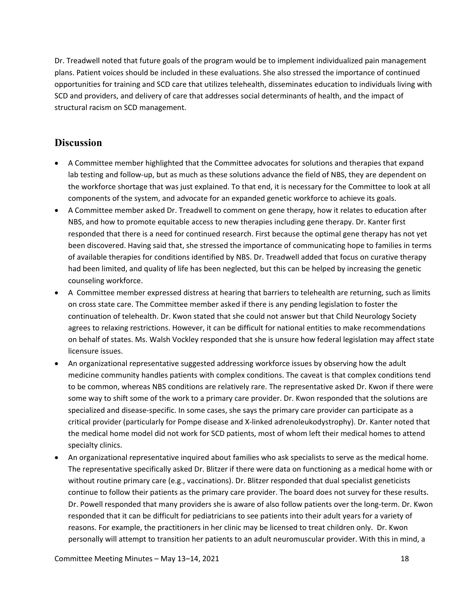Dr. Treadwell noted that future goals of the program would be to implement individualized pain management plans. Patient voices should be included in these evaluations. She also stressed the importance of continued opportunities for training and SCD care that utilizes telehealth, disseminates education to individuals living with SCD and providers, and delivery of care that addresses social determinants of health, and the impact of structural racism on SCD management.

## **Discussion**

- A Committee member highlighted that the Committee advocates for solutions and therapies that expand lab testing and follow-up, but as much as these solutions advance the field of NBS, they are dependent on the workforce shortage that was just explained. To that end, it is necessary for the Committee to look at all components of the system, and advocate for an expanded genetic workforce to achieve its goals.
- A Committee member asked Dr. Treadwell to comment on gene therapy, how it relates to education after NBS, and how to promote equitable access to new therapies including gene therapy. Dr. Kanter first responded that there is a need for continued research. First because the optimal gene therapy has not yet been discovered. Having said that, she stressed the importance of communicating hope to families in terms of available therapies for conditions identified by NBS. Dr. Treadwell added that focus on curative therapy had been limited, and quality of life has been neglected, but this can be helped by increasing the genetic counseling workforce.
- A Committee member expressed distress at hearing that barriers to telehealth are returning, such as limits on cross state care. The Committee member asked if there is any pending legislation to foster the continuation of telehealth. Dr. Kwon stated that she could not answer but that Child Neurology Society agrees to relaxing restrictions. However, it can be difficult for national entities to make recommendations on behalf of states. Ms. Walsh Vockley responded that she is unsure how federal legislation may affect state licensure issues.
- An organizational representative suggested addressing workforce issues by observing how the adult medicine community handles patients with complex conditions. The caveat is that complex conditions tend to be common, whereas NBS conditions are relatively rare. The representative asked Dr. Kwon if there were some way to shift some of the work to a primary care provider. Dr. Kwon responded that the solutions are specialized and disease-specific. In some cases, she says the primary care provider can participate as a critical provider (particularly for Pompe disease and X-linked adrenoleukodystrophy). Dr. Kanter noted that the medical home model did not work for SCD patients, most of whom left their medical homes to attend specialty clinics.
- An organizational representative inquired about families who ask specialists to serve as the medical home. The representative specifically asked Dr. Blitzer if there were data on functioning as a medical home with or without routine primary care (e.g., vaccinations). Dr. Blitzer responded that dual specialist geneticists continue to follow their patients as the primary care provider. The board does not survey for these results. Dr. Powell responded that many providers she is aware of also follow patients over the long-term. Dr. Kwon responded that it can be difficult for pediatricians to see patients into their adult years for a variety of reasons. For example, the practitioners in her clinic may be licensed to treat children only. Dr. Kwon personally will attempt to transition her patients to an adult neuromuscular provider. With this in mind, a